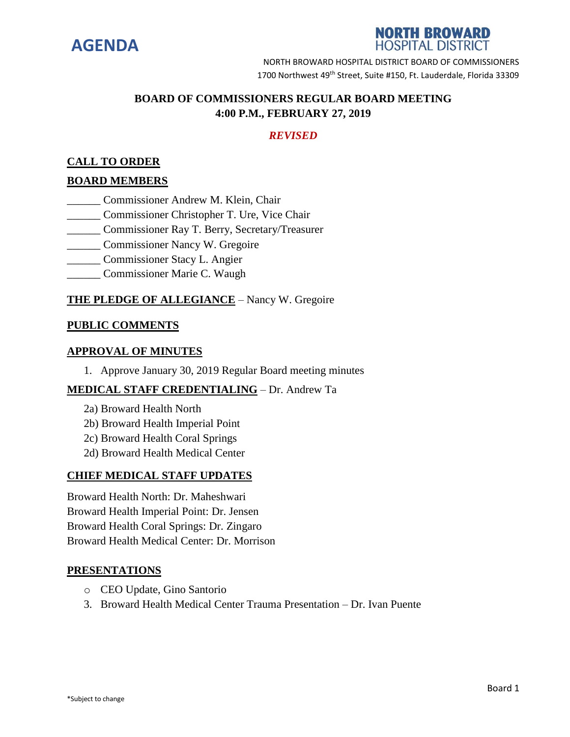

## **NORTH BROWARD HOSPITAL DISTRICT**

NORTH BROWARD HOSPITAL DISTRICT BOARD OF COMMISSIONERS 1700 Northwest 49<sup>th</sup> Street, Suite #150, Ft. Lauderdale, Florida 33309

# **BOARD OF COMMISSIONERS REGULAR BOARD MEETING 4:00 P.M., FEBRUARY 27, 2019**

# *REVISED*

## **CALL TO ORDER**

### **BOARD MEMBERS**

- \_\_\_\_\_\_ Commissioner Andrew M. Klein, Chair
- \_\_\_\_\_\_ Commissioner Christopher T. Ure, Vice Chair
- \_\_\_\_\_\_ Commissioner Ray T. Berry, Secretary/Treasurer
- \_\_\_\_\_\_ Commissioner Nancy W. Gregoire
- \_\_\_\_\_\_ Commissioner Stacy L. Angier
- \_\_\_\_\_\_ Commissioner Marie C. Waugh

## **THE PLEDGE OF ALLEGIANCE** – Nancy W. Gregoire

#### **PUBLIC COMMENTS**

#### **APPROVAL OF MINUTES**

1. Approve January 30, 2019 Regular Board meeting minutes

### **MEDICAL STAFF CREDENTIALING** – Dr. Andrew Ta

- 2a) Broward Health North
- 2b) Broward Health Imperial Point
- 2c) Broward Health Coral Springs
- 2d) Broward Health Medical Center

### **CHIEF MEDICAL STAFF UPDATES**

Broward Health North: Dr. Maheshwari Broward Health Imperial Point: Dr. Jensen Broward Health Coral Springs: Dr. Zingaro Broward Health Medical Center: Dr. Morrison

### **PRESENTATIONS**

- o CEO Update, Gino Santorio
- 3. Broward Health Medical Center Trauma Presentation Dr. Ivan Puente